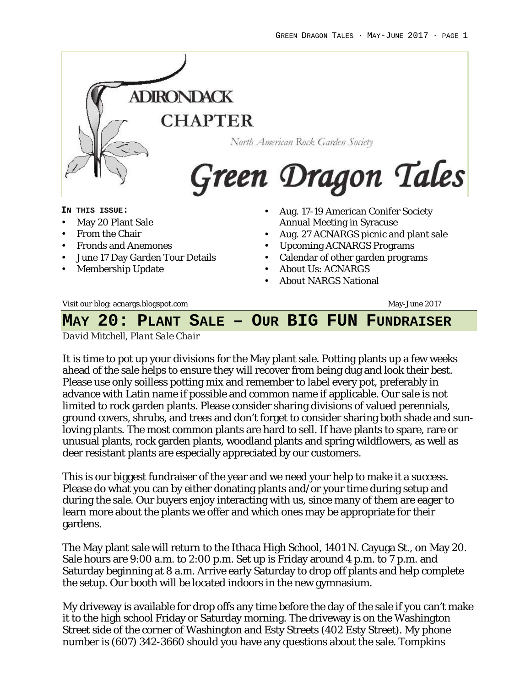

# **MAY 20: PLANT SALE – OUR BIG FUN FUNDRAISER**

*David Mitchell, Plant Sale Chair*

It is time to pot up your divisions for the May plant sale. Potting plants up a few weeks ahead of the sale helps to ensure they will recover from being dug and look their best. Please use only soilless potting mix and remember to label every pot, preferably in advance with Latin name if possible and common name if applicable. Our sale is not limited to rock garden plants. Please consider sharing divisions of valued perennials, ground covers, shrubs, and trees and don't forget to consider sharing both shade and sunloving plants. The most common plants are hard to sell. If have plants to spare, rare or unusual plants, rock garden plants, woodland plants and spring wildflowers, as well as deer resistant plants are especially appreciated by our customers.

This is our biggest fundraiser of the year and we need your help to make it a success. Please do what you can by either donating plants and/or your time during setup and during the sale. Our buyers enjoy interacting with us, since many of them are eager to learn more about the plants we offer and which ones may be appropriate for their gardens.

The May plant sale will return to the Ithaca High School, 1401 N. Cayuga St., on May 20. Sale hours are 9:00 a.m. to 2:00 p.m. Set up is Friday around 4 p.m. to 7 p.m. and Saturday beginning at 8 a.m. Arrive early Saturday to drop off plants and help complete the setup. Our booth will be located indoors in the new gymnasium.

My driveway is available for drop offs any time before the day of the sale if you can't make it to the high school Friday or Saturday morning. The driveway is on the Washington Street side of the corner of Washington and Esty Streets (402 Esty Street). My phone number is (607) 342-3660 should you have any questions about the sale. Tompkins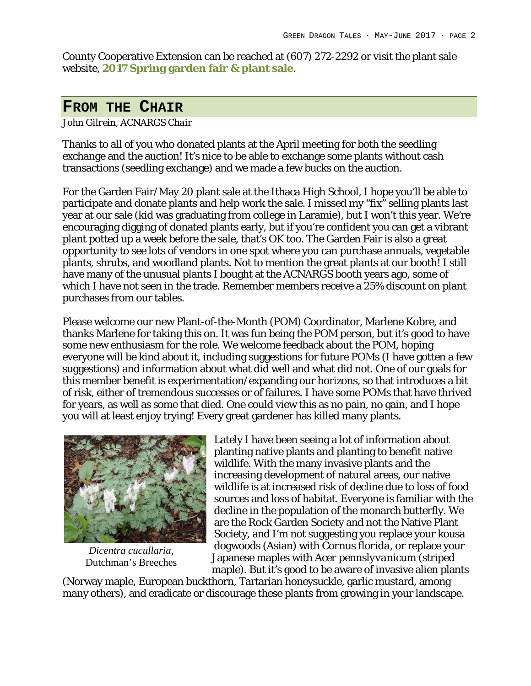County Cooperative Extension can be reached at (607) 272-2292 or visit the plant sale website, **2017 Spring garden fair & plant sale**.

### **FROM THE CHAIR**

#### *John Gilrein, ACNARGS Chair*

Thanks to all of you who donated plants at the April meeting for both the seedling exchange and the auction! It's nice to be able to exchange some plants without cash transactions (seedling exchange) and we made a few bucks on the auction.

For the Garden Fair/May 20 plant sale at the Ithaca High School, I hope you'll be able to participate and donate plants and help work the sale. I missed my "fix" selling plants last year at our sale (kid was graduating from college in Laramie), but I won't this year. We're encouraging digging of donated plants early, but if you're confident you can get a vibrant plant potted up a week before the sale, that's OK too. The Garden Fair is also a great opportunity to see lots of vendors in one spot where you can purchase annuals, vegetable plants, shrubs, and woodland plants. Not to mention the great plants at our booth! I still have many of the unusual plants I bought at the ACNARGS booth years ago, some of which I have not seen in the trade. Remember members receive a 25% discount on plant purchases from our tables.

Please welcome our new Plant-of-the-Month (POM) Coordinator, Marlene Kobre, and thanks Marlene for taking this on. It was fun being the POM person, but it's good to have some new enthusiasm for the role. We welcome feedback about the POM, hoping everyone will be kind about it, including suggestions for future POMs (I have gotten a few suggestions) and information about what did well and what did not. One of our goals for this member benefit is experimentation/expanding our horizons, so that introduces a bit of risk, either of tremendous successes or of failures. I have some POMs that have thrived for years, as well as some that died. One could view this as no pain, no gain, and I hope you will at least enjoy trying! Every great gardener has killed many plants.



*Dicentra cucullaria,* Dutchman's Breeches

Lately I have been seeing a lot of information about planting native plants and planting to benefit native wildlife. With the many invasive plants and the increasing development of natural areas, our native wildlife is at increased risk of decline due to loss of food sources and loss of habitat. Everyone is familiar with the decline in the population of the monarch butterfly. We are the Rock Garden Society and not the Native Plant Society, and I'm not suggesting you replace your kousa dogwoods (Asian) with *Cornus florida*, or replace your Japanese maples with *Acer pennslyvanicum* (striped maple). But it's good to be aware of invasive alien plants

(Norway maple, European buckthorn, Tartarian honeysuckle, garlic mustard, among many others), and eradicate or discourage these plants from growing in your landscape.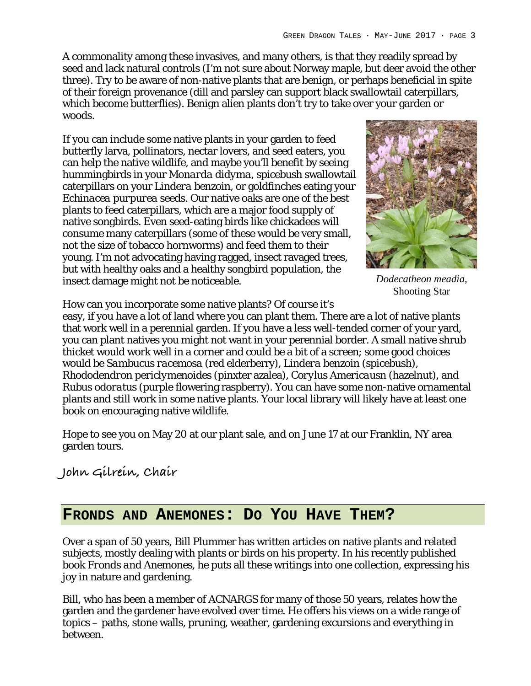A commonality among these invasives, and many others, is that they readily spread by seed and lack natural controls (I'm not sure about Norway maple, but deer avoid the other three). Try to be aware of non-native plants that are benign, or perhaps beneficial in spite of their foreign provenance (dill and parsley can support black swallowtail caterpillars, which become butterflies). Benign alien plants don't try to take over your garden or woods.

If you can include some native plants in your garden to feed butterfly larva, pollinators, nectar lovers, and seed eaters, you can help the native wildlife, and maybe you'll benefit by seeing hummingbirds in your *Monarda didyma*, spicebush swallowtail caterpillars on your *Lindera benzoin*, or goldfinches eating your *Echinacea purpurea* seeds. Our native oaks are one of the best plants to feed caterpillars, which are a major food supply of native songbirds. Even seed-eating birds like chickadees will consume many caterpillars (some of these would be very small, not the size of tobacco hornworms) and feed them to their young. I'm not advocating having ragged, insect ravaged trees, but with healthy oaks and a healthy songbird population, the insect damage might not be noticeable.



*Dodecatheon meadia,* Shooting Star

How can you incorporate some native plants? Of course it's

easy, if you have a lot of land where you can plant them. There are a lot of native plants that work well in a perennial garden. If you have a less well-tended corner of your yard, you can plant natives you might not want in your perennial border. A small native shrub thicket would work well in a corner and could be a bit of a screen; some good choices would be *Sambucus racemosa* (red elderberry), *Lindera benzoin* (spicebush), *Rhododendron periclymenoides* (pinxter azalea), *Corylus Americausn* (hazelnut), and *Rubus odoratus* (purple flowering raspberry). You can have some non-native ornamental plants and still work in some native plants. Your local library will likely have at least one book on encouraging native wildlife.

Hope to see you on May 20 at our plant sale, and on June 17 at our Franklin, NY area garden tours.

## **John Gilrein, Chair**

### **FRONDS AND ANEMONES: DO YOU HAVE THEM?**

Over a span of 50 years, Bill Plummer has written articles on native plants and related subjects, mostly dealing with plants or birds on his property. In his recently published book *Fronds and Anemones*, he puts all these writings into one collection, expressing his joy in nature and gardening.

Bill, who has been a member of ACNARGS for many of those 50 years, relates how the garden and the gardener have evolved over time. He offers his views on a wide range of topics – paths, stone walls, pruning, weather, gardening excursions and everything in between.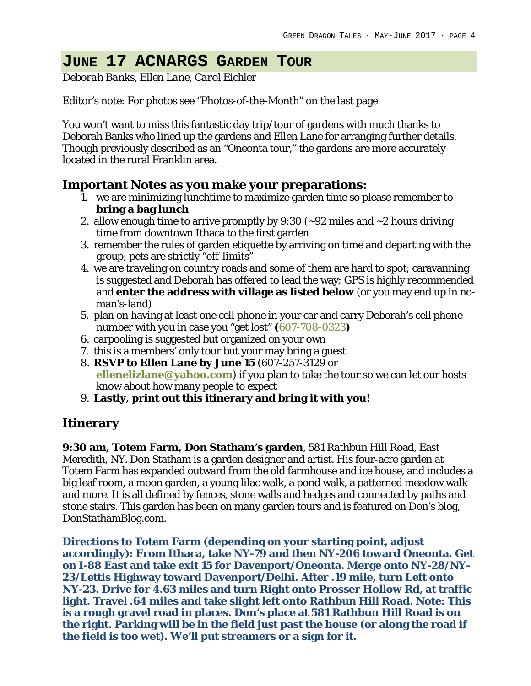## **JUNE 17 ACNARGS GARDEN TOUR**

*Deborah Banks, Ellen Lane, Carol Eichler*

Editor's note: For photos see "Photos-of-the-Month" on the last page

You won't want to miss this fantastic day trip/tour of gardens with much thanks to Deborah Banks who lined up the gardens and Ellen Lane for arranging further details. Though previously described as an "Oneonta tour," the gardens are more accurately located in the rural Franklin area.

**Important Notes as you make your preparations:**

- 1. we are minimizing lunchtime to maximize garden time so please remember to **bring a bag lunch**
- 2. allow enough time to arrive promptly by 9:30 (~92 miles and ~2 hours driving time from downtown Ithaca to the first garden
- 3. remember the rules of garden etiquette by arriving on time and departing with the group; pets are strictly "off-limits"
- 4. we are traveling on country roads and some of them are hard to spot; caravanning is suggested and Deborah has offered to lead the way; GPS is highly recommended and **enter the address with village as listed below** (or you may end up in noman's-land)
- 5. plan on having at least one cell phone in your car and carry Deborah's cell phone number with you in case you "get lost" **(**607-708-0323**)**
- 6. carpooling is suggested but organized on your own
- 7. this is a members' only tour but your may bring a guest
- 8. **RSVP to Ellen Lane by June 15** (607-257-3129 or **ellenelizlane@yahoo.com**) if you plan to take the tour so we can let our hosts know about how many people to expect
- 9. **Lastly, print out this itinerary and bring it with you!**

### **Itinerary**

**9:30 am, Totem Farm, Don Statham's garden**, 581 Rathbun Hill Road, East Meredith, NY. Don Statham is a garden designer and artist. His four-acre garden at Totem Farm has expanded outward from the old farmhouse and ice house, and includes a big leaf room, a moon garden, a young lilac walk, a pond walk, a patterned meadow walk and more. It is all defined by fences, stone walls and hedges and connected by paths and stone stairs. This garden has been on many garden tours and is featured on Don's blog, DonStathamBlog.com.

**Directions to Totem Farm (depending on your starting point, adjust accordingly): From Ithaca, take NY-79 and then NY-206 toward Oneonta. Get on I-88 East and take exit 15 for Davenport/Oneonta. Merge onto NY-28/NY-23/Lettis Highway toward Davenport/Delhi. After .19 mile, turn Left onto NY-23. Drive for 4.63 miles and turn Right onto Prosser Hollow Rd, at traffic light. Travel .64 miles and take slight left onto Rathbun Hill Road. Note: This is a rough gravel road in places. Don's place at 581 Rathbun Hill Road is on the right. Parking will be in the field just past the house (or along the road if the field is too wet). We'll put streamers or a sign for it.**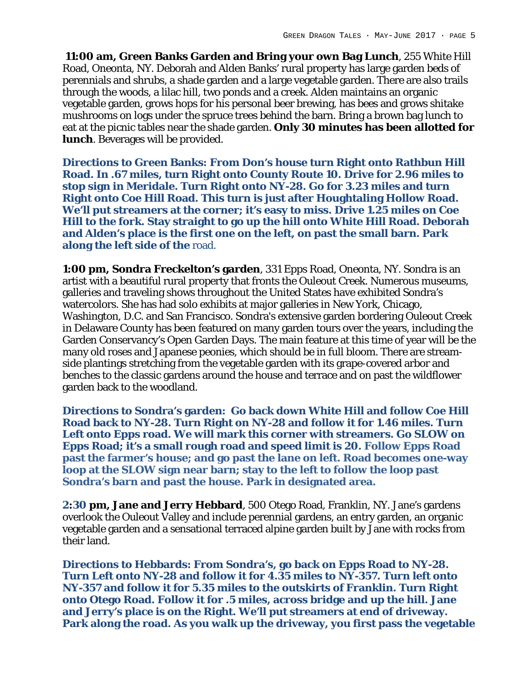**11:00 am, Green Banks Garden and Bring your own Bag Lunch**, 255 White Hill Road, Oneonta, NY. Deborah and Alden Banks' rural property has large garden beds of perennials and shrubs, a shade garden and a large vegetable garden. There are also trails through the woods, a lilac hill, two ponds and a creek. Alden maintains an organic vegetable garden, grows hops for his personal beer brewing, has bees and grows shitake mushrooms on logs under the spruce trees behind the barn. Bring a brown bag lunch to eat at the picnic tables near the shade garden. **Only 30 minutes has been allotted for lunch**. Beverages will be provided.

**Directions to Green Banks: From Don's house turn Right onto Rathbun Hill Road. In .67 miles, turn Right onto County Route 10. Drive for 2.96 miles to stop sign in Meridale. Turn Right onto NY-28. Go for 3.23 miles and turn Right onto Coe Hill Road. This turn is just after Houghtaling Hollow Road. We'll put streamers at the corner; it's easy to miss. Drive 1.25 miles on Coe Hill to the fork. Stay straight to go up the hill onto White Hill Road. Deborah and Alden's place is the first one on the left, on past the small barn. Park along the left side of the** road.

**1:00 pm, Sondra Freckelton's garden**, 331 Epps Road, Oneonta, NY. Sondra is an artist with a beautiful rural property that fronts the Ouleout Creek. Numerous museums, galleries and traveling shows throughout the United States have exhibited Sondra's watercolors. She has had solo exhibits at major galleries in New York, Chicago, Washington, D.C. and San Francisco. Sondra's extensive garden bordering Ouleout Creek in Delaware County has been featured on many garden tours over the years, including the Garden Conservancy's Open Garden Days. The main feature at this time of year will be the many old roses and Japanese peonies, which should be in full bloom. There are streamside plantings stretching from the vegetable garden with its grape-covered arbor and benches to the classic gardens around the house and terrace and on past the wildflower garden back to the woodland.

**Directions to Sondra's garden: Go back down White Hill and follow Coe Hill Road back to NY-28. Turn Right on NY-28 and follow it for 1.46 miles. Turn Left onto Epps road. We will mark this corner with streamers. Go SLOW on Epps Road; it's a small rough road and speed limit is 20. Follow Epps Road past the farmer's house; and go past the lane on left. Road becomes one-way loop at the SLOW sign near barn; stay to the left to follow the loop past Sondra's barn and past the house. Park in designated area.**

**2:30 pm, Jane and Jerry Hebbard**, 500 Otego Road, Franklin, NY. Jane's gardens overlook the Ouleout Valley and include perennial gardens, an entry garden, an organic vegetable garden and a sensational terraced alpine garden built by Jane with rocks from their land.

**Directions to Hebbards: From Sondra's, go back on Epps Road to NY-28. Turn Left onto NY-28 and follow it for 4.35 miles to NY-357. Turn left onto NY-357 and follow it for 5.35 miles to the outskirts of Franklin. Turn Right onto Otego Road. Follow it for .5 miles, across bridge and up the hill. Jane and Jerry's place is on the Right. We'll put streamers at end of driveway. Park along the road. As you walk up the driveway, you first pass the vegetable**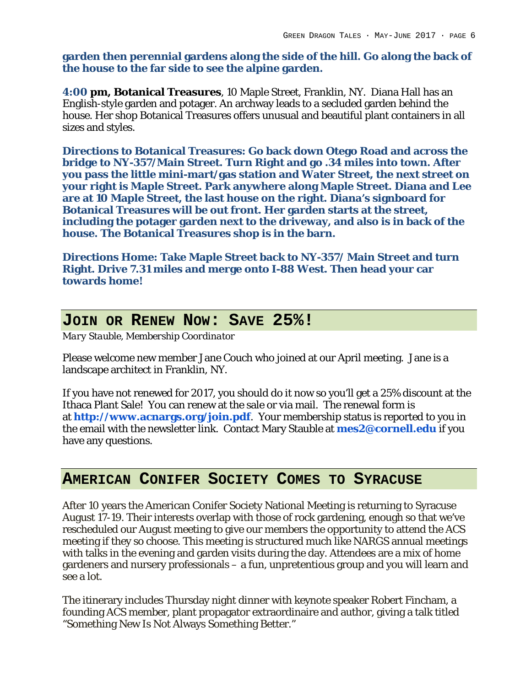**garden then perennial gardens along the side of the hill. Go along the back of the house to the far side to see the alpine garden.**

**4:00 pm, Botanical Treasures**, 10 Maple Street, Franklin, NY. Diana Hall has an English-style garden and potager. An archway leads to a secluded garden behind the house. Her shop Botanical Treasures offers unusual and beautiful plant containers in all sizes and styles.

**Directions to Botanical Treasures: Go back down Otego Road and across the bridge to NY-357/Main Street. Turn Right and go .34 miles into town. After you pass the little mini-mart/gas station and Water Street, the next street on your right is Maple Street. Park anywhere along Maple Street. Diana and Lee are at 10 Maple Street, the last house on the right. Diana's signboard for Botanical Treasures will be out front. Her garden starts at the street, including the potager garden next to the driveway, and also is in back of the house. The Botanical Treasures shop is in the barn.**

**Directions Home: Take Maple Street back to NY-357/ Main Street and turn Right. Drive 7.31 miles and merge onto I-88 West. Then head your car towards home!**

## **JOIN OR RENEW NOW: SAVE 25%!**

*Mary Stauble, Membership Coordinator*

Please welcome new member Jane Couch who joined at our April meeting. Jane is a landscape architect in Franklin, NY.

If you have not renewed for 2017, you should do it now so you'll get a 25% discount at the Ithaca Plant Sale! You can renew at the sale or via mail. The renewal form is at **http://www.acnargs.org/join.pdf**. Your membership status is reported to you in the email with the newsletter link. Contact Mary Stauble at **mes2@cornell.edu** if you have any questions.

### **AMERICAN CONIFER SOCIETY COMES TO SYRACUSE**

After 10 years the American Conifer Society National Meeting is returning to Syracuse August 17-19. Their interests overlap with those of rock gardening, enough so that we've rescheduled our August meeting to give our members the opportunity to attend the ACS meeting if they so choose. This meeting is structured much like NARGS annual meetings with talks in the evening and garden visits during the day. Attendees are a mix of home gardeners and nursery professionals – a fun, unpretentious group and you will learn and see a lot.

The itinerary includes Thursday night dinner with keynote speaker Robert Fincham, a founding ACS member, plant propagator extraordinaire and author, giving a talk titled "Something New Is Not Always Something Better."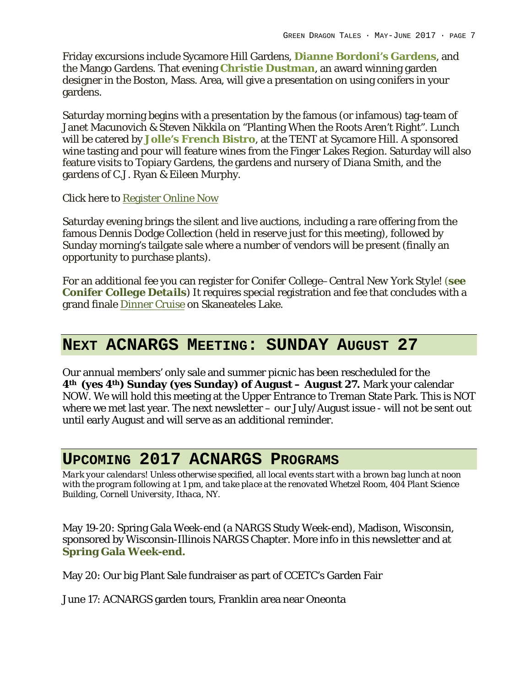Friday excursions include Sycamore Hill Gardens, **Dianne Bordoni's Gardens**, and the Mango Gardens. That evening **Christie Dustman**, an award winning garden designer in the Boston, Mass. Area, will give a presentation on using conifers in your gardens.

Saturday morning begins with a presentation by the famous (or infamous) tag-team of Janet Macunovich & Steven Nikkila on "Planting When the Roots Aren't Right". Lunch will be catered by **Jolle's French Bistro**, at the TENT at Sycamore Hill. A sponsored wine tasting and pour will feature wines from the Finger Lakes Region. Saturday will also feature visits to Topiary Gardens, the gardens and nursery of Diana Smith, and the gardens of C.J. Ryan & Eileen Murphy.

#### Click here to Register Online Now

Saturday evening brings the silent and live auctions, including a rare offering from the famous Dennis Dodge Collection (held in reserve just for this meeting), followed by Sunday morning's tailgate sale where a number of vendors will be present (finally an opportunity to purchase plants).

For an additional fee you can register for *Conifer College*–*Central New York Style! (see Conifer College Details)* It requires special registration and fee that concludes with a grand finale Dinner Cruise on Skaneateles Lake.

### **NEXT ACNARGS MEETING: SUNDAY AUGUST 27**

Our annual members' only sale and summer picnic has been rescheduled for the **4th (yes 4th) Sunday (yes Sunday) of August – August 27.** Mark your calendar NOW. We will hold this meeting at the Upper Entrance to Treman State Park. This is NOT where we met last year. The next newsletter – our July/August issue - will not be sent out until early August and will serve as an additional reminder.

### **UPCOMING 2017 ACNARGS PROGRAMS**

*Mark your calendars! Unless otherwise specified, all local events start with a brown bag lunch at noon with the program following at 1 pm, and take place at the renovated Whetzel Room, 404 Plant Science Building, Cornell University, Ithaca, NY.*

May 19-20: Spring Gala Week-end (a NARGS Study Week-end), Madison, Wisconsin, sponsored by Wisconsin-Illinois NARGS Chapter. More info in this newsletter and at **Spring Gala Week-end.**

May 20: Our big Plant Sale fundraiser as part of CCETC's Garden Fair

June 17: ACNARGS garden tours, Franklin area near Oneonta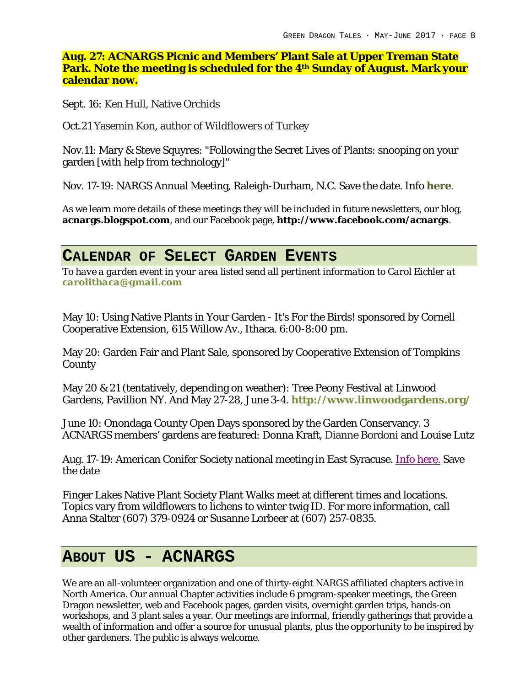**Aug. 27: ACNARGS Picnic and Members' Plant Sale at Upper Treman State Park. Note the meeting is scheduled for the 4th Sunday of August. Mark your calendar now.**

Sept. 16: Ken Hull, Native Orchids

Oct.21 Yasemin Kon, author of *Wildflowers of Turkey*

Nov.11: Mary & Steve Squyres: "Following the Secret Lives of Plants: snooping on your garden [with help from technology]"

Nov. 17-19: NARGS Annual Meeting, Raleigh-Durham, N.C. Save the date. Info **here**.

As we learn more details of these meetings they will be included in future newsletters, our blog, **acnargs.blogspot.com**, and our Facebook page, **http://www.facebook.com/acnargs**.

### **CALENDAR OF SELECT GARDEN EVENTS**

*To have a garden event in your area listed send all pertinent information to Carol Eichler at carolithaca@gmail.com*

May 10: Using Native Plants in Your Garden - It's For the Birds! sponsored by Cornell Cooperative Extension, 615 Willow Av., Ithaca. 6:00-8:00 pm.

May 20: Garden Fair and Plant Sale, sponsored by Cooperative Extension of Tompkins **County** 

May 20 & 21 (tentatively, depending on weather): Tree Peony Festival at Linwood Gardens, Pavillion NY. And May 27-28, June 3-4. **http://www.linwoodgardens.org/**

June 10: Onondaga County Open Days sponsored by the Garden Conservancy. 3 ACNARGS members' gardens are featured: Donna Kraft, Dianne Bordoni and Louise Lutz

Aug. 17-19: American Conifer Society national meeting in East Syracuse. Info here. Save the date

Finger Lakes Native Plant Society Plant Walks meet at different times and locations. Topics vary from wildflowers to lichens to winter twig ID. For more information, call Anna Stalter (607) 379-0924 or Susanne Lorbeer at (607) 257-0835.

### **ABOUT US - ACNARGS**

We are an all-volunteer organization and one of thirty-eight NARGS affiliated chapters active in North America. Our annual Chapter activities include 6 program-speaker meetings, the Green Dragon newsletter, web and Facebook pages, garden visits, overnight garden trips, hands-on workshops, and 3 plant sales a year. Our meetings are informal, friendly gatherings that provide a wealth of information and offer a source for unusual plants, plus the opportunity to be inspired by other gardeners. The public is always welcome.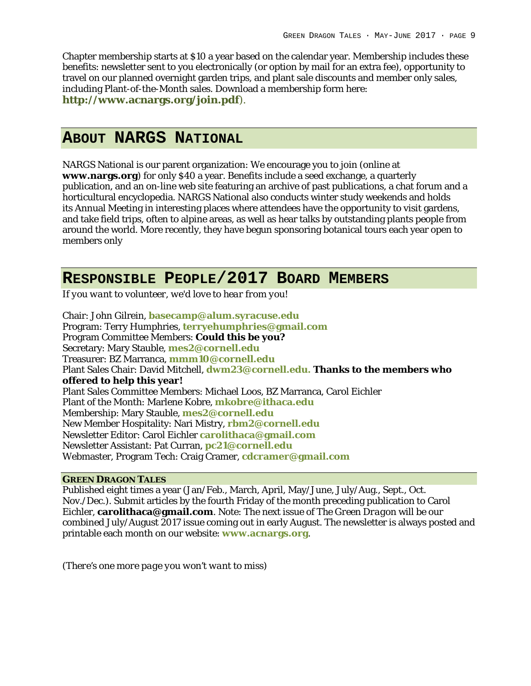Chapter membership starts at \$10 a year based on the calendar year. Membership includes these benefits: newsletter sent to you electronically (or option by mail for an extra fee), opportunity to travel on our planned overnight garden trips, and plant sale discounts and member only sales, including Plant-of-the-Month sales. Download a membership form here: **http://www.acnargs.org/join.pdf**).

### **ABOUT NARGS NATIONAL**

NARGS National is our parent organization: We encourage you to join (online at **www.nargs.org**) for only \$40 a year. Benefits include a seed exchange, a quarterly publication, and an on-line web site featuring an archive of past publications, a chat forum and a horticultural encyclopedia. NARGS National also conducts winter study weekends and holds its Annual Meeting in interesting places where attendees have the opportunity to visit gardens, and take field trips, often to alpine areas, as well as hear talks by outstanding plants people from around the world. More recently, they have begun sponsoring botanical tours each year open to members only

### **RESPONSIBLE PEOPLE/2017 BOARD MEMBERS**

*If you want to volunteer, we'd love to hear from you!*

Chair: John Gilrein, **basecamp@alum.syracuse.edu** Program: Terry Humphries, **terryehumphries@gmail.com** Program Committee Members: **Could this be you?** Secretary: Mary Stauble, **mes2@cornell.edu** Treasurer: BZ Marranca, **mmm10@cornell.edu** Plant Sales Chair: David Mitchell, **dwm23@cornell.edu. Thanks to the members who offered to help this year!** Plant Sales Committee Members: Michael Loos, BZ Marranca, Carol Eichler Plant of the Month: Marlene Kobre, **mkobre@ithaca.edu** Membership: Mary Stauble, **mes2@cornell.edu** New Member Hospitality: Nari Mistry, **rbm2@cornell.edu** Newsletter Editor: Carol Eichler **carolithaca@gmail.com** Newsletter Assistant: Pat Curran, **pc21@cornell.edu** Webmaster, Program Tech: Craig Cramer, **cdcramer@gmail.com**

#### **GREEN DRAGON TALES**

Published eight times a year (Jan/Feb., March, April, May/June, July/Aug., Sept., Oct. Nov./Dec.). Submit articles by the fourth Friday of the month preceding publication to Carol Eichler, **carolithaca@gmail.com**. Note: The next issue of *The Green Dragon* will be our combined July/August 2017 issue coming out in early August. The newsletter is always posted and printable each month on our website: **www.acnargs.org**.

*(There's one more page you won't want to miss)*